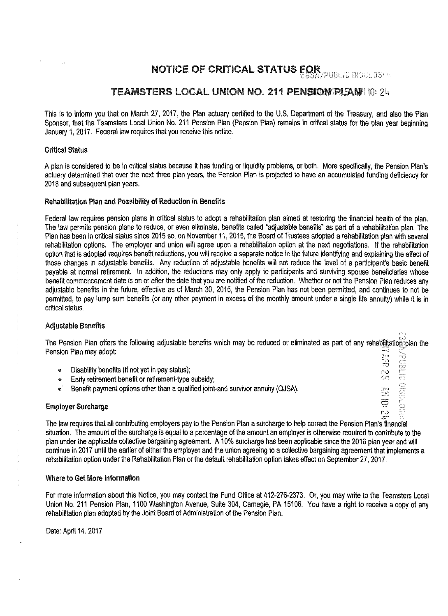# NOTICE OF CRITICAL STATUS FOR

### TEAMSTERS LOCAL UNION NO. 211 PENSION FALANA 10: 24

This is to inform you that on March 27, 2017, the Plan actuary certified to the U.S. Department of the Treasury, and also the Plan Sponsor, that the Teamsters Local Union No. 211 Pension Plan (Pension Plan) remains in critical status for the plan year beginning January 1, 2017. Federal law requires that you receive this notice.

#### Critical Status

A plan is considered to be in critical status because it has funding or liquidity problems, or both. More specifically, the Pension Plan's actuary determined that over the next three plan years, the Pension Plan is projected to have an accumulated funding deficiency for 2018 and subsequent plan years.

#### Rehabilitation Plan and Possibility of Reduction in Benefits

Federal law requires pension plans in critical status to adopt a rehabilitation plan aimed at restoring the financial health of the plan. The law permits pension plans to reduce, or even eliminate, benefits called 'adjustable benefits" as part of a rehabilitation plan. The Plan has been in critical status since 2015 so, on November 11, 2015, the Board of Trustees adopted a rehabilitation plan with several rehabilitation options. The employer and union will agree upon a rehabilitation option at the next negotiations. If the rehabilitation option that is adopted requires benefit reductions, you will receive a separate notice in the future identifying and explaining the effect of those changes in adjustable benefits. Any reduction of adjustable benefits will not reduce the level of a participant's basic benefit payable at normal retirement. In addition, the reductions may only apply to participants and surviving spouse beneficiaries whose benefit commencement date is on or after the date that you are notified of the reduction. Whether or not the Pension Plan reduces any adjustable benefits in the future, effective as of March 30, 2015, the Pension Plan has not been permitted, and continues to not be permitted, to pay lump sum benefits (or any other payment in excess of the monthly amount under a single life annuity) while it is in critical status.

#### Adjustable Benefits

The Pension Plan offers the following adjustable benefits which may be reduced or eliminated as part of any rehabilitation plan the Pension Plan may adopt:<br>
• Disability benefits (if not yet in pay status);<br>
• Early retirement benefit or retirement-type subsidy;<br>
• Benefit payment options other than a qualified joint-and survivor annuity (QJSA).<br>
• Emp **Address** 

 $C^{\infty}_{\infty}$ 

- Disability benefits (if not yet in pay status);
- Early retirement benefit or retirement-type subsidy;
- Benefit payment options other than a qualified joint-and survivor annuity (QJSA).

## Employer Surcharge  $\mathbb{R}^2$

The law requires that all contributing employers pay to the Pension Plan a surcharge to help correct the Pension Plan•s"'financial situation. The amount of the surcharge is equal to a percentage of the amount an employer is otherwise required to contribute to the plan under the applicable collective bargaining agreement. A 10% surcharge has been applicable since the 2016 plan year and will continue in 2017 until the earlier of either the employer and the union agreeing to a collective bargaining agreement that implements a rehabilitation option under the Rehabilitation Plan or the default rehabilitation option takes effect on September 27, 2017.

#### Where to Get More Information

For more information about this Notice, you may contact the Fund Office at 412-276-2373. Or, you may write to the Teamsters Local Union No. 211 Pension Plan, 1100 Washington Avenue, Suite 304, Carnegie, PA 15106. You have a right to receive a copy of any rehabilitation plan adopted by the Joint Board of Administration of the Pension Plan.

Date: April 14. 2017